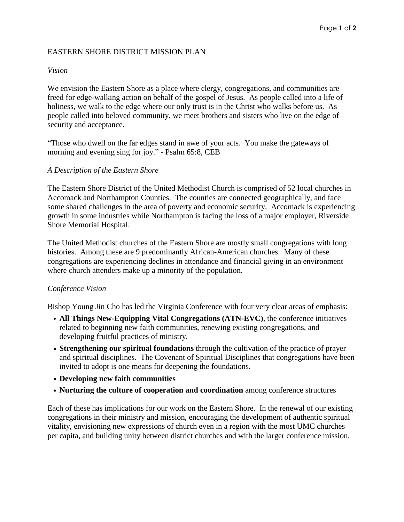# EASTERN SHORE DISTRICT MISSION PLAN

## *Vision*

We envision the Eastern Shore as a place where clergy, congregations, and communities are freed for edge-walking action on behalf of the gospel of Jesus. As people called into a life of holiness, we walk to the edge where our only trust is in the Christ who walks before us. As people called into beloved community, we meet brothers and sisters who live on the edge of security and acceptance.

"Those who dwell on the far edges stand in awe of your acts. You make the gateways of morning and evening sing for joy." - Psalm 65:8, CEB

## *A Description of the Eastern Shore*

The Eastern Shore District of the United Methodist Church is comprised of 52 local churches in Accomack and Northampton Counties. The counties are connected geographically, and face some shared challenges in the area of poverty and economic security. Accomack is experiencing growth in some industries while Northampton is facing the loss of a major employer, Riverside Shore Memorial Hospital.

The United Methodist churches of the Eastern Shore are mostly small congregations with long histories. Among these are 9 predominantly African-American churches. Many of these congregations are experiencing declines in attendance and financial giving in an environment where church attenders make up a minority of the population.

#### *Conference Vision*

Bishop Young Jin Cho has led the Virginia Conference with four very clear areas of emphasis:

- **All Things New-Equipping Vital Congregations (ATN-EVC)**, the conference initiatives related to beginning new faith communities, renewing existing congregations, and developing fruitful practices of ministry.
- **Strengthening our spiritual foundations** through the cultivation of the practice of prayer and spiritual disciplines. The Covenant of Spiritual Disciplines that congregations have been invited to adopt is one means for deepening the foundations.
- **Developing new faith communities**
- **Nurturing the culture of cooperation and coordination** among conference structures

Each of these has implications for our work on the Eastern Shore. In the renewal of our existing congregations in their ministry and mission, encouraging the development of authentic spiritual vitality, envisioning new expressions of church even in a region with the most UMC churches per capita, and building unity between district churches and with the larger conference mission.